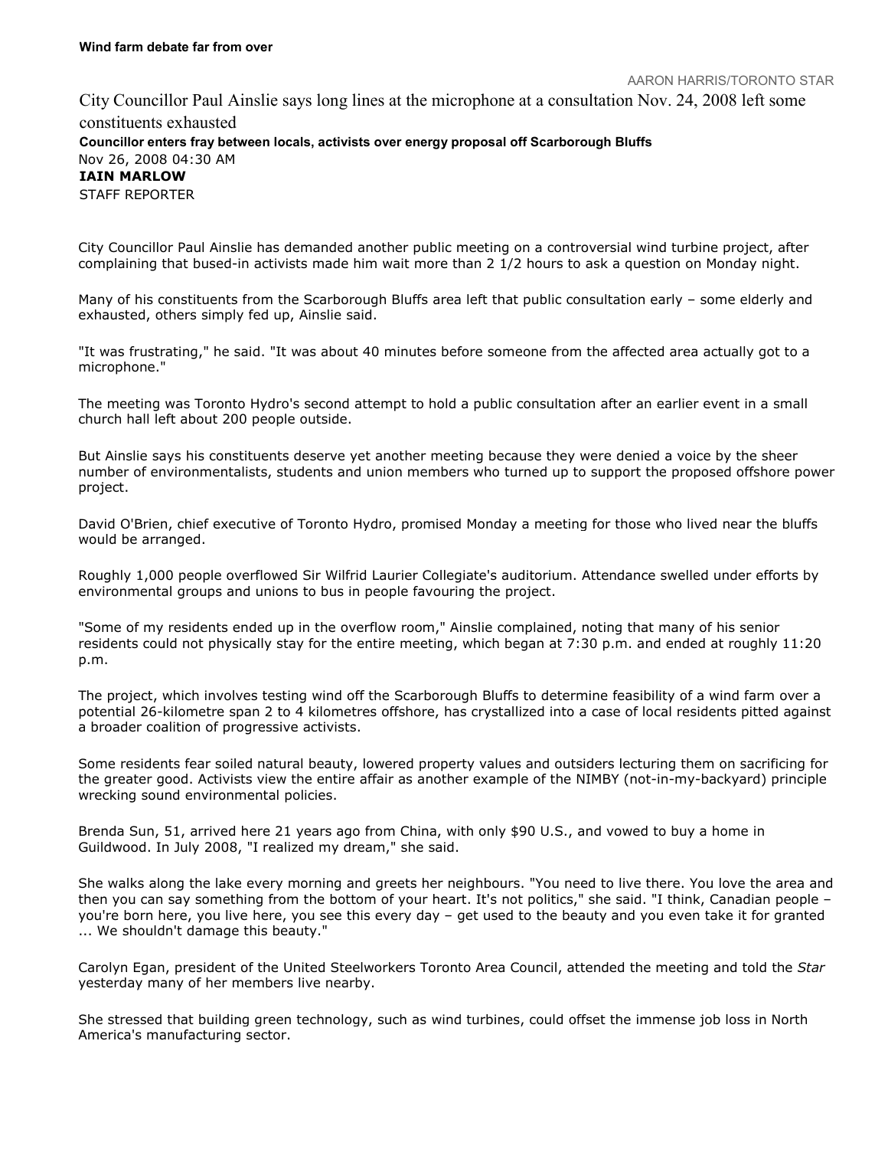## AARON HARRIS/TORONTO STAR

City Councillor Paul Ainslie says long lines at the microphone at a consultation Nov. 24, 2008 left some constituents exhausted Councillor enters fray between locals, activists over energy proposal off Scarborough Bluffs Nov 26, 2008 04:30 AM IAIN MARLOW STAFF REPORTER

City Councillor Paul Ainslie has demanded another public meeting on a controversial wind turbine project, after complaining that bused-in activists made him wait more than 2 1/2 hours to ask a question on Monday night.

Many of his constituents from the Scarborough Bluffs area left that public consultation early – some elderly and exhausted, others simply fed up, Ainslie said.

"It was frustrating," he said. "It was about 40 minutes before someone from the affected area actually got to a microphone."

The meeting was Toronto Hydro's second attempt to hold a public consultation after an earlier event in a small church hall left about 200 people outside.

But Ainslie says his constituents deserve yet another meeting because they were denied a voice by the sheer number of environmentalists, students and union members who turned up to support the proposed offshore power project.

David O'Brien, chief executive of Toronto Hydro, promised Monday a meeting for those who lived near the bluffs would be arranged.

Roughly 1,000 people overflowed Sir Wilfrid Laurier Collegiate's auditorium. Attendance swelled under efforts by environmental groups and unions to bus in people favouring the project.

"Some of my residents ended up in the overflow room," Ainslie complained, noting that many of his senior residents could not physically stay for the entire meeting, which began at 7:30 p.m. and ended at roughly 11:20 p.m.

The project, which involves testing wind off the Scarborough Bluffs to determine feasibility of a wind farm over a potential 26-kilometre span 2 to 4 kilometres offshore, has crystallized into a case of local residents pitted against a broader coalition of progressive activists.

Some residents fear soiled natural beauty, lowered property values and outsiders lecturing them on sacrificing for the greater good. Activists view the entire affair as another example of the NIMBY (not-in-my-backyard) principle wrecking sound environmental policies.

Brenda Sun, 51, arrived here 21 years ago from China, with only \$90 U.S., and vowed to buy a home in Guildwood. In July 2008, "I realized my dream," she said.

She walks along the lake every morning and greets her neighbours. "You need to live there. You love the area and then you can say something from the bottom of your heart. It's not politics," she said. "I think, Canadian people – you're born here, you live here, you see this every day – get used to the beauty and you even take it for granted ... We shouldn't damage this beauty."

Carolyn Egan, president of the United Steelworkers Toronto Area Council, attended the meeting and told the Star yesterday many of her members live nearby.

She stressed that building green technology, such as wind turbines, could offset the immense job loss in North America's manufacturing sector.